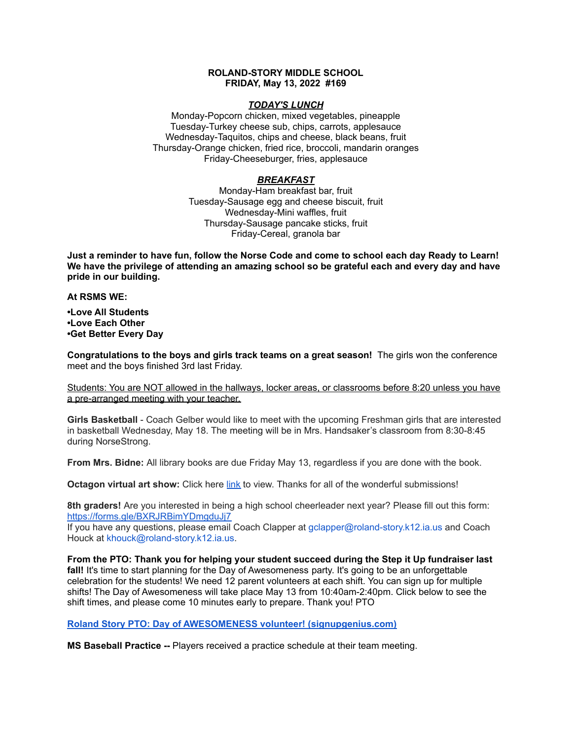### **ROLAND-STORY MIDDLE SCHOOL FRIDAY, May 13, 2022 #169**

### *TODAY'S LUNCH*

Monday-Popcorn chicken, mixed vegetables, pineapple Tuesday-Turkey cheese sub, chips, carrots, applesauce Wednesday-Taquitos, chips and cheese, black beans, fruit Thursday-Orange chicken, fried rice, broccoli, mandarin oranges Friday-Cheeseburger, fries, applesauce

# *BREAKFAST*

Monday-Ham breakfast bar, fruit Tuesday-Sausage egg and cheese biscuit, fruit Wednesday-Mini waffles, fruit Thursday-Sausage pancake sticks, fruit Friday-Cereal, granola bar

Just a reminder to have fun, follow the Norse Code and come to school each day Ready to Learn! **We have the privilege of attending an amazing school so be grateful each and every day and have pride in our building.**

**At RSMS WE:**

**•Love All Students •Love Each Other •Get Better Every Day**

**Congratulations to the boys and girls track teams on a great season!** The girls won the conference meet and the boys finished 3rd last Friday.

Students: You are NOT allowed in the hallways, locker areas, or classrooms before 8:20 unless you have a pre-arranged meeting with your teacher.

**Girls Basketball** - Coach Gelber would like to meet with the upcoming Freshman girls that are interested in basketball Wednesday, May 18. The meeting will be in Mrs. Handsaker's classroom from 8:30-8:45 during NorseStrong.

**From Mrs. Bidne:** All library books are due Friday May 13, regardless if you are done with the book.

**Octagon virtual art show:** Click here [link](https://www.youtube.com/watch?v=l_N0KeDsDNI) to view. Thanks for all of the wonderful submissions!

**8th graders!** Are you interested in being a high school cheerleader next year? Please fill out this form[:](https://forms.gle/BXRJRBimYDmgduJj7) <https://forms.gle/BXRJRBimYDmgduJj7>

If you have any questions, please email Coach Clapper at gclapper@roland-story.k12.ia.us and Coach Houck at khouck@roland-story.k12.ia.us.

**From the PTO: Thank you for helping your student succeed during the Step it Up fundraiser last** fall! It's time to start planning for the Day of Awesomeness party. It's going to be an unforgettable celebration for the students! We need 12 parent volunteers at each shift. You can sign up for multiple shifts! The Day of Awesomeness will take place May 13 from 10:40am-2:40pm. Click below to see the shift times, and please come 10 minutes early to prepare. Thank you! PTO

**Roland Story PTO: Day of AWESOMENESS volunteer! [\(signupgenius.com\)](https://www.signupgenius.com/go/5080f48afab2ba5f94-dayofawesomeness)**

**MS Baseball Practice --** Players received a practice schedule at their team meeting.